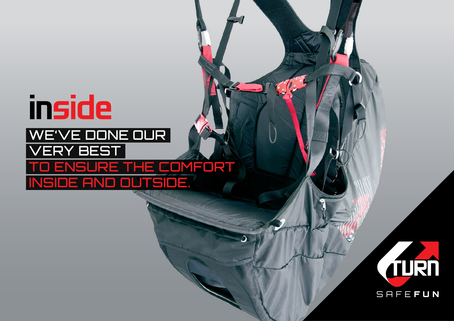## inside We've done our very best ENSURE THE COMFORT inside and outside.

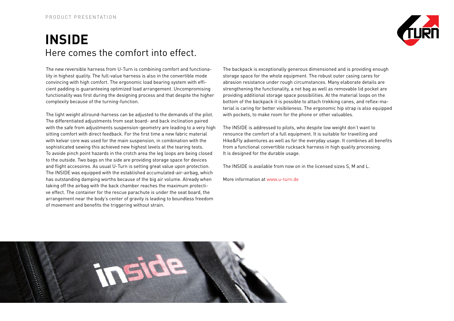## **INSIDE** Here comes the comfort into effect.



The new reversible harness from U-Turn is combining comfort and functionality in highest quality. The full-value harness is also in the convertible mode convincing with high comfort. The ergonomic load bearing system with efficient padding is guaranteeing optimized load arrangement. Uncompromising functionality was first during the designing process and that despite the higher complexity because of the turning-function.

The light weight allround-harness can be adjusted to the demands of the pilot. The differentiated adjustments from seat board- and back inclination paired with the safe from adjustments suspension-geometry are leading to a very high sitting comfort with direct feedback. For the first time a new fabric material with kelvar core was used for the main suspension, in combination with the sophisticated sewing this achieved new highest levels at the tearing tests. To avoide pinch point hazards in the crotch area the leg loops are being closed to the outside. Two bags on the side are providing storage space for devices and flight accesoires. As usual U-Turn is setting great value upon protection. The INSIDE was equipped with the established accumulated-air-airbag, which has outstanding damping worths because of the big air volume. Already when taking off the airbag with the back chamber reaches the maximum protective effect. The container for the rescue parachute is under the seat board, the arrangement near the body's center of gravity is leading to boundless freedom of movement and benefits the triggering without strain.

The backpack is exceptionally generous dimensioned and is providing enough storage space for the whole equipment. The robust outer casing cares for abrasion resistance under rough circumstances. Many elaborate details are strengthening the functionality, a net bag as well as removable lid pocket are providing additional storage space possibilities. At the material loops on the bottom of the backpack it is possible to attach trekking canes, and reflex-material is caring for better visibileness. The ergonomic hip strap is also equipped with pockets, to make room for the phone or other valuables.

The INSIDE is addressed to pilots, who despite low weight don't want to renounce the comfort of a full equipment. It is suitable for travelling and Hike&Fly adventures as well as for the everyday usage. It combines all benefits from a functional convertible rucksack harness in high quality processing. It is designed for the durable usage.

The INSIDE is available from now on in the licensed sizes S, M and L.

More information at www.u-turn.de